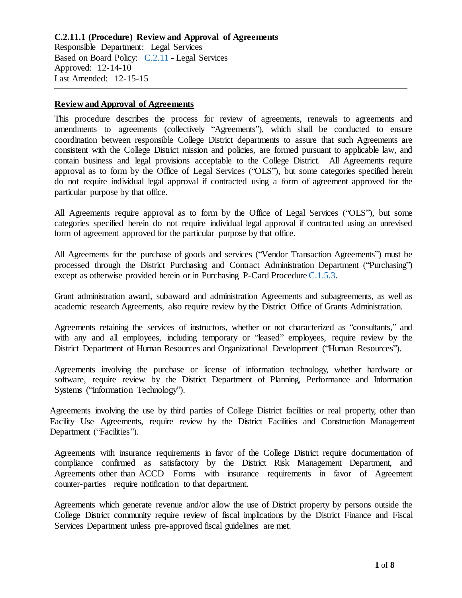#### **Review and Approval of Agreements**

This procedure describes the process for review of agreements, renewals to agreements and amendments to agreements (collectively "Agreements"), which shall be conducted to ensure coordination between responsible College District departments to assure that such Agreements are consistent with the College District mission and policies, are formed pursuant to applicable law, and contain business and legal provisions acceptable to the College District. All Agreements require approval as to form by the Office of Legal Services ("OLS"), but some categories specified herein do not require individual legal approval if contracted using a form of agreement approved for the particular purpose by that office.

All Agreements require approval as to form by the Office of Legal Services ("OLS"), but some categories specified herein do not require individual legal approval if contracted using an unrevised form of agreement approved for the particular purpose by that office.

All Agreements for the purchase of goods and services ("Vendor Transaction Agreements") must be processed through the District Purchasing and Contract Administration Department ("Purchasing") except as otherwise provided herein or in Purchasing P-Card Procedure [C.1.5.3](https://www.alamo.edu/siteassets/district/about-us/leadership/board-of-trustees/policies-pdfs/section-c/c.1.5.3-procedure.pdf).

Grant administration award, subaward and administration Agreements and subagreements, as well as academic research Agreements, also require review by the District Office of Grants Administration.

Agreements retaining the services of instructors, whether or not characterized as "consultants," and with any and all employees, including temporary or "leased" employees, require review by the District Department of Human Resources and Organizational Development ("Human Resources").

Agreements involving the purchase or license of information technology, whether hardware or software, require review by the District Department of Planning, Performance and Information Systems ("Information Technology").

Agreements involving the use by third parties of College District facilities or real property, other than Facility Use Agreements, require review by the District Facilities and Construction Management Department ('Facilities'').

Agreements with insurance requirements in favor of the College District require documentation of compliance confirmed as satisfactory by the District Risk Management Department, and Agreements other than ACCD Forms with insurance requirements in favor of Agreement counter-parties require notification to that department.

Agreements which generate revenue and/or allow the use of District property by persons outside the College District community require review of fiscal implications by the District Finance and Fiscal Services Department unless pre-approved fiscal guidelines are met.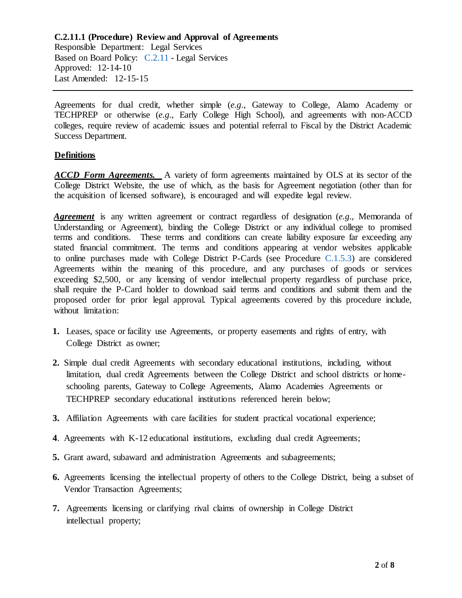Agreements for dual credit, whether simple (*e.g*., Gateway to College, Alamo Academy or TECHPREP or otherwise (*e.g*., Early College High School), and agreements with non-ACCD colleges, require review of academic issues and potential referral to Fiscal by the District Academic Success Department.

### **Definitions**

*ACCD Form Agreements.* A variety of form agreements maintained by OLS at its sector of the College District Website, the use of which, as the basis for Agreement negotiation (other than for the acquisition of licensed software), is encouraged and will expedite legal review.

*Agreement* is any written agreement or contract regardless of designation (*e.g*., Memoranda of Understanding or Agreement), binding the College District or any individual college to promised terms and conditions. These terms and conditions can create liability exposure far exceeding any stated financial commitment. The terms and conditions appearing at vendor websites applicable to online purchases made with College District P-Cards (see Procedure [C.1.5.3\)](https://www.alamo.edu/siteassets/district/about-us/leadership/board-of-trustees/policies-pdfs/section-c/c.1.5.3-procedure.pdf) are considered Agreements within the meaning of this procedure, and any purchases of goods or services exceeding \$2,500, or any licensing of vendor intellectual property regardless of purchase price, shall require the P-Card holder to download said terms and conditions and submit them and the proposed order for prior legal approval. Typical agreements covered by this procedure include, without limitation:

- **1.** Leases, space or facility use Agreements, or property easements and rights of entry, with College District as owner;
- **2.** Simple dual credit Agreements with secondary educational institutions, including, without limitation, dual credit Agreements between the College District and school districts or homeschooling parents, Gateway to College Agreements, Alamo Academies Agreements or TECHPREP secondary educational institutions referenced herein below;
- **3.** Affiliation Agreements with care facilities for student practical vocational experience;
- **4**. Agreements with K-12 educational institutions, excluding dual credit Agreements;
- **5.** Grant award, subaward and administration Agreements and subagreements;
- **6.** Agreements licensing the intellectual property of others to the College District, being a subset of Vendor Transaction Agreements;
- **7.** Agreements licensing or clarifying rival claims of ownership in College District intellectual property;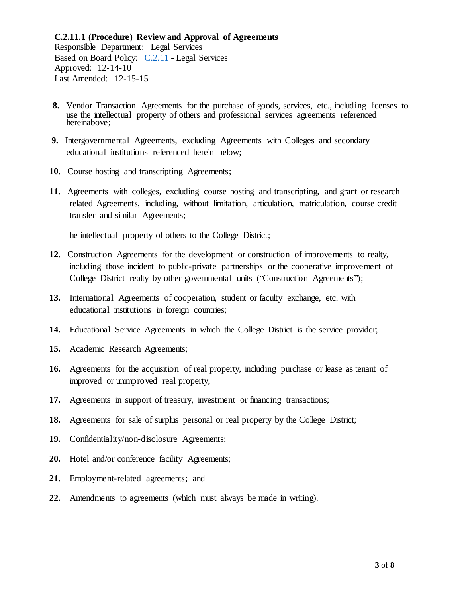- **8.** Vendor Transaction Agreements for the purchase of goods, services, etc., including licenses to use the intellectual property of others and professional services agreements referenced hereinabove;
- **9.** Intergovernmental Agreements, excluding Agreements with Colleges and secondary educational institutions referenced herein below;
- **10.** Course hosting and transcripting Agreements;
- **11.** Agreements with colleges, excluding course hosting and transcripting, and grant or research related Agreements, including, without limitation, articulation, matriculation, course credit transfer and similar Agreements;

he intellectual property of others to the College District;

- **12.** Construction Agreements for the development or construction of improvements to realty, including those incident to public-private partnerships or the cooperative improvement of College District realty by other governmental units ("Construction Agreements");
- **13.** International Agreements of cooperation, student or faculty exchange, etc. with educational institutions in foreign countries;
- **14.** Educational Service Agreements in which the College District is the service provider;
- **15.** Academic Research Agreements;
- **16.** Agreements for the acquisition of real property, including purchase or lease as tenant of improved or unimproved real property;
- **17.** Agreements in support of treasury, investment or financing transactions;
- **18.** Agreements for sale of surplus personal or real property by the College District;
- **19.** Confidentiality/non-disclosure Agreements;
- **20.** Hotel and/or conference facility Agreements;
- **21.** Employment-related agreements; and
- **22.** Amendments to agreements (which must always be made in writing).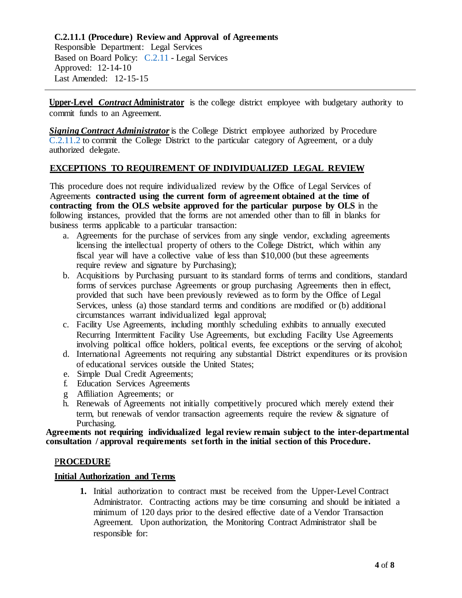**Upper-Level** *Contract* **Administrator** is the college district employee with budgetary authority to commit funds to an Agreement.

*Signing Contract Administrator* is the College District employee authorized by Procedure [C.2.11.2](https://www.alamo.edu/siteassets/district/about-us/leadership/board-of-trustees/policies-pdfs/section-c/c.2.11.2-procedure.pdf) to commit the College District to the particular category of Agreement, or a duly authorized delegate.

# **EXCEPTIONS TO REQUIREMENT OF INDIVIDUALIZED LEGAL REVIEW**

This procedure does not require individualized review by the Office of Legal Services of Agreements **contracted using the current form of agreement obtained at the time of contracting from the OLS website approved for the particular purpose by OLS** in the following instances, provided that the forms are not amended other than to fill in blanks for business terms applicable to a particular transaction:

- a. Agreements for the purchase of services from any single vendor, excluding agreements licensing the intellectual property of others to the College District, which within any fiscal year will have a collective value of less than \$10,000 (but these agreements require review and signature by Purchasing);
- b. Acquisitions by Purchasing pursuant to its standard forms of terms and conditions, standard forms of services purchase Agreements or group purchasing Agreements then in effect, provided that such have been previously reviewed as to form by the Office of Legal Services, unless (a) those standard terms and conditions are modified or (b) additional circumstances warrant individualized legal approval;
- c. Facility Use Agreements, including monthly scheduling exhibits to annually executed Recurring Intermittent Facility Use Agreements, but excluding Facility Use Agreements involving political office holders, political events, fee exceptions or the serving of alcohol;
- d. International Agreements not requiring any substantial District expenditures or its provision of educational services outside the United States;
- e. Simple Dual Credit Agreements;
- f. Education Services Agreements
- g Affiliation Agreements; or
- h. Renewals of Agreements not initially competitively procured which merely extend their term, but renewals of vendor transaction agreements require the review & signature of Purchasing.

**Agreements not requiring individualized legal review remain subject to the inter-departmental consultation / approval requirements set forth in the initial section of this Procedure.**

### P**ROCEDURE**

## **Initial Authorization and Terms**

**1.** Initial authorization to contract must be received from the Upper-Level Contract Administrator. Contracting actions may be time consuming and should be initiated a minimum of 120 days prior to the desired effective date of a Vendor Transaction Agreement. Upon authorization, the Monitoring Contract Administrator shall be responsible for: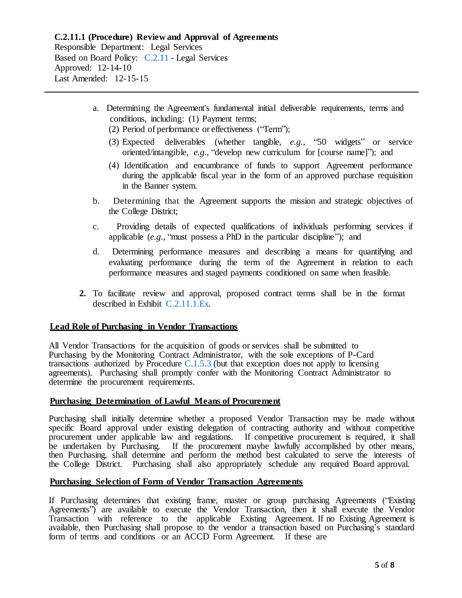- a. Determining the Agreement's fundamental initial deliverable requirements, terms and conditions, including: (1) Payment terms;
	- (2) Period of performance or effectiveness ("Term");
	- (3) Expected deliverables (whether tangible*, e.g.*, "50 widgets" or service oriented/intangible, *e.g.*, "develop new curriculum for [course name]"); and
	- (4) Identification and encumbrance of funds to support Agreement performance during the applicable fiscal year in the form of an approved purchase requisition in the Banner system.
- b. Determining that the Agreement supports the mission and strategic objectives of the College District;
- c. Providing details of expected qualifications of individuals performing services if applicable (*e.g*., "must possess a PhD in the particular discipline"); and
- d. Determining performance measures and describing a means for quantifying and evaluating performance during the term of the Agreement in relation to each performance measures and staged payments conditioned on same when feasible.
- **2.** To facilitate review and approval, proposed contract terms shall be in the format described in Exhibit [C.2.11.1.Ex.](https://www.alamo.edu/siteassets/district/about-us/leadership/board-of-trustees/policies-pdfs/section-c/c.2.11.1.ex-exhibit.pdf)

## **Lead Role of Purchasing in Vendor Transactions**

All Vendor Transactions for the acquisition of goods or services shall be submitted to Purchasing by the Monitoring Contract Administrator, with the sole exceptions of P-Card transactions authorized by Procedure [C.1.5.3](https://www.alamo.edu/siteassets/district/about-us/leadership/board-of-trustees/policies-pdfs/section-c/c.1.5.3-procedure.pdf) (but that exception does not apply to licensing agreements). Purchasing shall promptly confer with the Monitoring Contract Administrator to determine the procurement requirements.

### **Purchasing Determination of Lawful Means of Procurement**

Purchasing shall initially determine whether a proposed Vendor Transaction may be made without specific Board approval under existing delegation of contracting authority and without competitive procurement under applicable law and regulations. If competitive procurement is required, it shall be undertaken by Purchasing. If the procurement maybe lawfully accomplished by other means, then Purchasing, shall determine and perform the method best calculated to serve the interests of the College District. Purchasing shall also appropriately schedule any required Board approval.

## **Purchasing Selection of Form of Vendor Transaction Agreements**

If Purchasing determines that existing frame, master or group purchasing Agreements ("Existing Agreements") are available to execute the Vendor Transaction, then it shall execute the Vendor Transaction with reference to the applicable Existing Agreement. If no Existing Agreement is available, then Purchasing shall propose to the vendor a transaction based on Purchasing's standard form of terms and conditions or an ACCD Form Agreement. If these are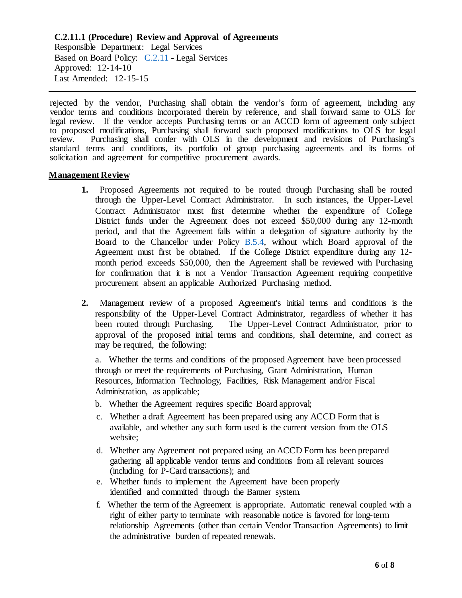rejected by the vendor, Purchasing shall obtain the vendor's form of agreement, including any vendor terms and conditions incorporated therein by reference, and shall forward same to OLS for legal review. If the vendor accepts Purchasing terms or an ACCD form of agreement only subject to proposed modifications, Purchasing shall forward such proposed modifications to OLS for legal review. Purchasing shall confer with OLS in the development and revisions of Purchasing's standard terms and conditions, its portfolio of group purchasing agreements and its forms of solicitation and agreement for competitive procurement awards.

## **Management Review**

- **1.** Proposed Agreements not required to be routed through Purchasing shall be routed through the Upper-Level Contract Administrator. In such instances, the Upper-Level Contract Administrator must first determine whether the expenditure of College District funds under the Agreement does not exceed \$50,000 during any 12-month period, and that the Agreement falls within a delegation of signature authority by the Board to the Chancellor under Policy [B.5.4,](https://www.alamo.edu/siteassets/district/about-us/leadership/board-of-trustees/policies-pdfs/section-b/b.5.4-policy.pdf) without which Board approval of the Agreement must first be obtained. If the College District expenditure during any 12 month period exceeds \$50,000, then the Agreement shall be reviewed with Purchasing for confirmation that it is not a Vendor Transaction Agreement requiring competitive procurement absent an applicable Authorized Purchasing method.
- **2.** Management review of a proposed Agreement's initial terms and conditions is the responsibility of the Upper-Level Contract Administrator, regardless of whether it has been routed through Purchasing. The Upper-Level Contract Administrator, prior to approval of the proposed initial terms and conditions, shall determine, and correct as may be required, the following:

a. Whether the terms and conditions of the proposed Agreement have been processed through or meet the requirements of Purchasing, Grant Administration, Human Resources, Information Technology, Facilities, Risk Management and/or Fiscal Administration, as applicable;

- b. Whether the Agreement requires specific Board approval;
- c. Whether a draft Agreement has been prepared using any ACCD Form that is available, and whether any such form used is the current version from the OLS website;
- d. Whether any Agreement not prepared using an ACCD Form has been prepared gathering all applicable vendor terms and conditions from all relevant sources (including for P-Card transactions); and
- e. Whether funds to implement the Agreement have been properly identified and committed through the Banner system.
- f. Whether the term of the Agreement is appropriate. Automatic renewal coupled with a right of either party to terminate with reasonable notice is favored for long-term relationship Agreements (other than certain Vendor Transaction Agreements) to limit the administrative burden of repeated renewals.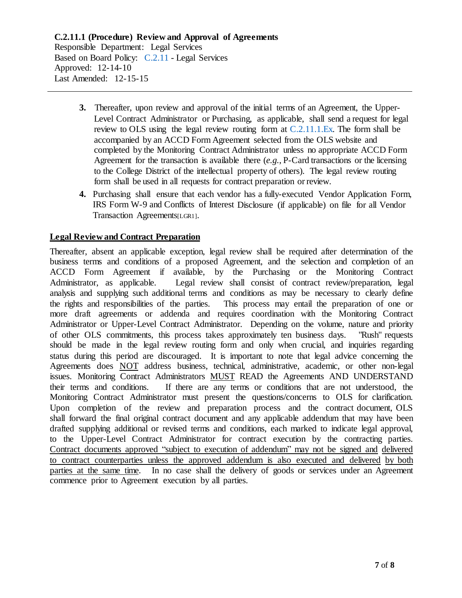- **3.** Thereafter, upon review and approval of the initial terms of an Agreement, the Upper-Level Contract Administrator or Purchasing, as applicable, shall send a request for legal review to OLS using the legal review routing form at [C.2.11.1.Ex.](https://www.alamo.edu/siteassets/district/about-us/leadership/board-of-trustees/policies-pdfs/section-c/c.2.11.1.ex-exhibit.pdf) The form shall be accompanied by an ACCD Form Agreement selected from the OLS website and completed by the Monitoring Contract Administrator unless no appropriate ACCD Form Agreement for the transaction is available there (*e.g.*, P-Card transactions or the licensing to the College District of the intellectual property of others). The legal review routing form shall be used in all requests for contract preparation or review.
- **4.** Purchasing shall ensure that each vendor has a fully-executed Vendor Application Form, IRS Form W-9 and Conflicts of Interest Disclosure (if applicable) on file for all Vendor Transaction Agreements[LGR1].

# **Legal Review and Contract Preparation**

Thereafter, absent an applicable exception, legal review shall be required after determination of the business terms and conditions of a proposed Agreement, and the selection and completion of an ACCD Form Agreement if available, by the Purchasing or the Monitoring Contract Administrator, as applicable. Legal review shall consist of contract review/preparation, legal analysis and supplying such additional terms and conditions as may be necessary to clearly define the rights and responsibilities of the parties. This process may entail the preparation of one or more draft agreements or addenda and requires coordination with the Monitoring Contract Administrator or Upper-Level Contract Administrator. Depending on the volume, nature and priority of other OLS commitments, this process takes approximately ten business days. "Rush" requests should be made in the legal review routing form and only when crucial, and inquiries regarding status during this period are discouraged. It is important to note that legal advice concerning the Agreements does NOT address business, technical, administrative, academic, or other non-legal issues. Monitoring Contract Administrators MUST READ the Agreements AND UNDERSTAND their terms and conditions. If there are any terms or conditions that are not understood, the Monitoring Contract Administrator must present the questions/concerns to OLS for clarification. Upon completion of the review and preparation process and the contract document, OLS shall forward the final original contract document and any applicable addendum that may have been drafted supplying additional or revised terms and conditions, each marked to indicate legal approval, to the Upper-Level Contract Administrator for contract execution by the contracting parties. Contract documents approved "subject to execution of addendum" may not be signed and delivered to contract counterparties unless the approved addendum is also executed and delivered by both parties at the same time. In no case shall the delivery of goods or services under an Agreement commence prior to Agreement execution by all parties.